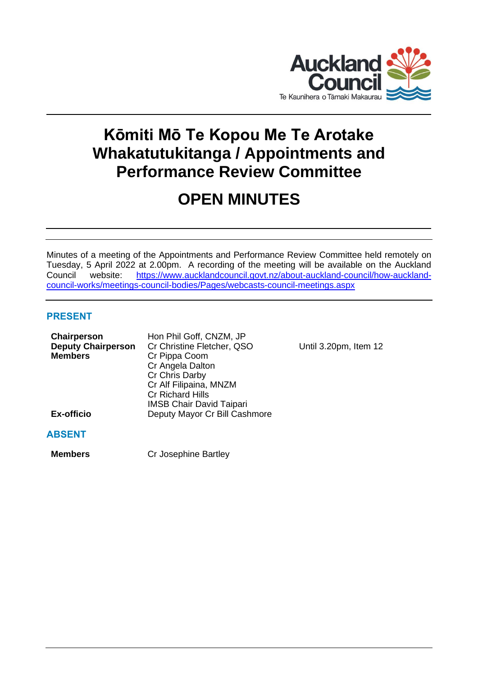

# **Kōmiti Mō Te Kopou Me Te Arotake Whakatutukitanga / Appointments and Performance Review Committee**

# **OPEN MINUTES**

Minutes of a meeting of the Appointments and Performance Review Committee held remotely on Tuesday, 5 April 2022 at 2.00pm. A recording of the meeting will be available on the Auckland Council website: [https://www.aucklandcouncil.govt.nz/about-auckland-council/how-auckland](https://www.aucklandcouncil.govt.nz/about-auckland-council/how-auckland-council-works/meetings-council-bodies/Pages/webcasts-council-meetings.aspx)[council-works/meetings-council-bodies/Pages/webcasts-council-meetings.aspx](https://www.aucklandcouncil.govt.nz/about-auckland-council/how-auckland-council-works/meetings-council-bodies/Pages/webcasts-council-meetings.aspx)

# **PRESENT**

| Chairperson<br><b>Deputy Chairperson</b><br><b>Members</b> | Hon Phil Goff, CNZM, JP<br>Cr Christine Fletcher, QSO<br>Cr Pippa Coom<br>Cr Angela Dalton<br>Cr Chris Darby<br>Cr Alf Filipaina, MNZM<br><b>Cr Richard Hills</b><br><b>IMSB Chair David Taipari</b> |
|------------------------------------------------------------|------------------------------------------------------------------------------------------------------------------------------------------------------------------------------------------------------|
| <b>Ex-officio</b>                                          | Deputy Mayor Cr Bill Cashmore                                                                                                                                                                        |

**Until 3.20pm, Item 12** 

# **ABSENT**

**Members** Cr Josephine Bartley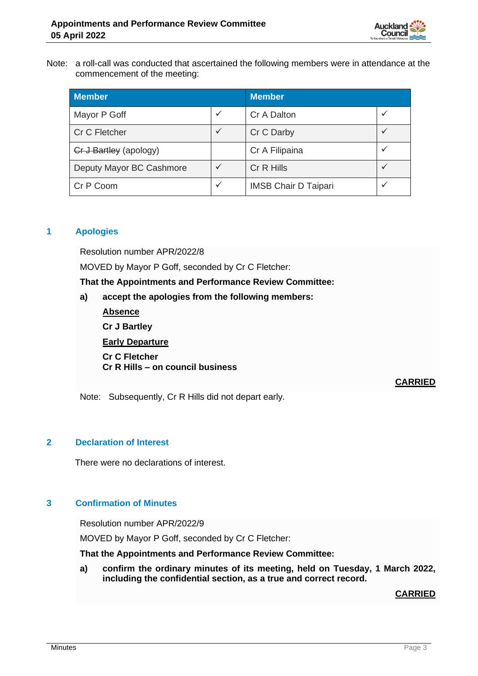

Note: a roll-call was conducted that ascertained the following members were in attendance at the commencement of the meeting:

| <b>Member</b>            |              | <b>Member</b>               |              |
|--------------------------|--------------|-----------------------------|--------------|
| Mayor P Goff             | ✓            | Cr A Dalton                 | v            |
| Cr C Fletcher            | ✓            | Cr C Darby                  |              |
| Cr J Bartley (apology)   |              | Cr A Filipaina              | $\checkmark$ |
| Deputy Mayor BC Cashmore | $\checkmark$ | Cr R Hills                  |              |
| Cr P Coom                | ✓            | <b>IMSB Chair D Taipari</b> |              |

# **1 Apologies**

Resolution number APR/2022/8

MOVED by Mayor P Goff, seconded by Cr C Fletcher:

**That the Appointments and Performance Review Committee:**

- **a) accept the apologies from the following members:**
	- **Absence Cr J Bartley Early Departure Cr C Fletcher Cr R Hills – on council business**

**CARRIED**

Note: Subsequently, Cr R Hills did not depart early.

# **2 Declaration of Interest**

There were no declarations of interest.

# **3 Confirmation of Minutes**

Resolution number APR/2022/9

MOVED by Mayor P Goff, seconded by Cr C Fletcher:

**That the Appointments and Performance Review Committee:**

**a) confirm the ordinary minutes of its meeting, held on Tuesday, 1 March 2022, including the confidential section, as a true and correct record.**

# **CARRIED**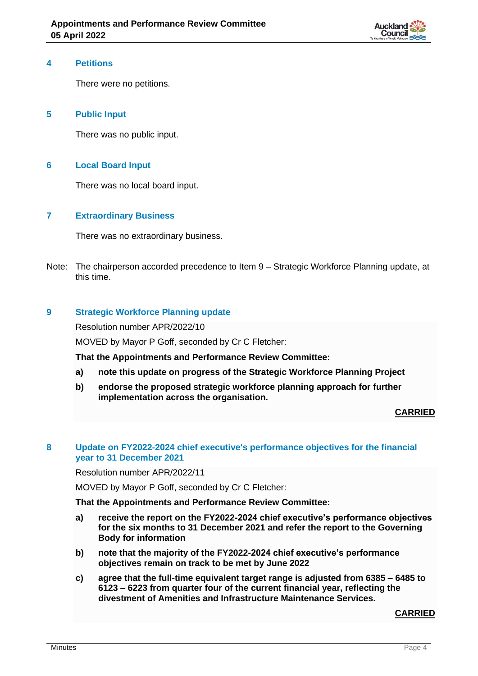

#### **4 Petitions**

There were no petitions.

# **5 Public Input**

There was no public input.

### **6 Local Board Input**

There was no local board input.

#### **7 Extraordinary Business**

There was no extraordinary business.

Note: The chairperson accorded precedence to Item 9 – Strategic Workforce Planning update, at this time.

# **9 Strategic Workforce Planning update**

Resolution number APR/2022/10

MOVED by Mayor P Goff, seconded by Cr C Fletcher:

**That the Appointments and Performance Review Committee:**

- **a) note this update on progress of the Strategic Workforce Planning Project**
- **b) endorse the proposed strategic workforce planning approach for further implementation across the organisation.**

**CARRIED**

#### **8 Update on FY2022-2024 chief executive's performance objectives for the financial year to 31 December 2021**

Resolution number APR/2022/11

MOVED by Mayor P Goff, seconded by Cr C Fletcher:

#### **That the Appointments and Performance Review Committee:**

- **a) receive the report on the FY2022-2024 chief executive's performance objectives for the six months to 31 December 2021 and refer the report to the Governing Body for information**
- **b) note that the majority of the FY2022-2024 chief executive's performance objectives remain on track to be met by June 2022**
- **c) agree that the full-time equivalent target range is adjusted from 6385 – 6485 to 6123 – 6223 from quarter four of the current financial year, reflecting the divestment of Amenities and Infrastructure Maintenance Services.**

**CARRIED**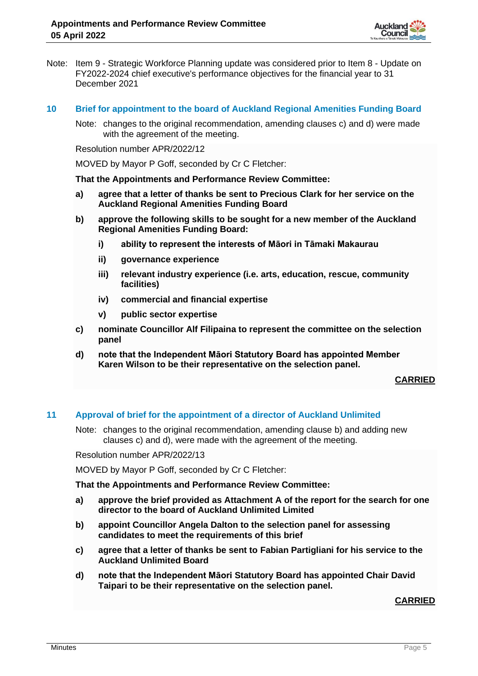

- Note: Item 9 Strategic Workforce Planning update was considered prior to Item 8 Update on FY2022-2024 chief executive's performance objectives for the financial year to 31 December 2021
- **10 Brief for appointment to the board of Auckland Regional Amenities Funding Board**
	- Note: changes to the original recommendation, amending clauses c) and d) were made with the agreement of the meeting.

Resolution number APR/2022/12

MOVED by Mayor P Goff, seconded by Cr C Fletcher:

**That the Appointments and Performance Review Committee:**

- **a) agree that a letter of thanks be sent to Precious Clark for her service on the Auckland Regional Amenities Funding Board**
- **b) approve the following skills to be sought for a new member of the Auckland Regional Amenities Funding Board:**
	- **i) ability to represent the interests of Māori in Tāmaki Makaurau**
	- **ii) governance experience**
	- **iii) relevant industry experience (i.e. arts, education, rescue, community facilities)**
	- **iv) commercial and financial expertise**
	- **v) public sector expertise**
- **c) nominate Councillor Alf Filipaina to represent the committee on the selection panel**
- **d) note that the Independent Māori Statutory Board has appointed Member Karen Wilson to be their representative on the selection panel.**

**CARRIED**

#### **11 Approval of brief for the appointment of a director of Auckland Unlimited**

Note: changes to the original recommendation, amending clause b) and adding new clauses c) and d), were made with the agreement of the meeting.

Resolution number APR/2022/13

MOVED by Mayor P Goff, seconded by Cr C Fletcher:

#### **That the Appointments and Performance Review Committee:**

- **a) approve the brief provided as Attachment A of the report for the search for one director to the board of Auckland Unlimited Limited**
- **b) appoint Councillor Angela Dalton to the selection panel for assessing candidates to meet the requirements of this brief**
- **c) agree that a letter of thanks be sent to Fabian Partigliani for his service to the Auckland Unlimited Board**
- **d) note that the Independent Māori Statutory Board has appointed Chair David Taipari to be their representative on the selection panel.**

#### **CARRIED**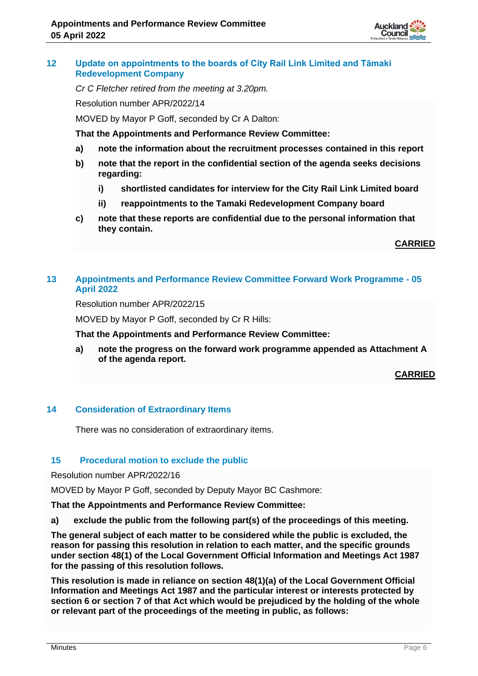

# **12 Update on appointments to the boards of City Rail Link Limited and Tāmaki Redevelopment Company**

*Cr C Fletcher retired from the meeting at 3.20pm.*

Resolution number APR/2022/14

MOVED by Mayor P Goff, seconded by Cr A Dalton:

**That the Appointments and Performance Review Committee:**

- **a) note the information about the recruitment processes contained in this report**
- **b) note that the report in the confidential section of the agenda seeks decisions regarding:**
	- **i) shortlisted candidates for interview for the City Rail Link Limited board**
	- **ii) reappointments to the Tamaki Redevelopment Company board**
- **c) note that these reports are confidential due to the personal information that they contain.**

**CARRIED**

# **13 Appointments and Performance Review Committee Forward Work Programme - 05 April 2022**

Resolution number APR/2022/15

MOVED by Mayor P Goff, seconded by Cr R Hills:

**That the Appointments and Performance Review Committee:**

**a) note the progress on the forward work programme appended as Attachment A of the agenda report.**

**CARRIED**

# **14 Consideration of Extraordinary Items**

There was no consideration of extraordinary items.

# **15 Procedural motion to exclude the public**

Resolution number APR/2022/16

MOVED by Mayor P Goff, seconded by Deputy Mayor BC Cashmore:

**That the Appointments and Performance Review Committee:**

**a) exclude the public from the following part(s) of the proceedings of this meeting.**

**The general subject of each matter to be considered while the public is excluded, the reason for passing this resolution in relation to each matter, and the specific grounds under section 48(1) of the Local Government Official Information and Meetings Act 1987 for the passing of this resolution follows.**

**This resolution is made in reliance on section 48(1)(a) of the Local Government Official Information and Meetings Act 1987 and the particular interest or interests protected by section 6 or section 7 of that Act which would be prejudiced by the holding of the whole or relevant part of the proceedings of the meeting in public, as follows:**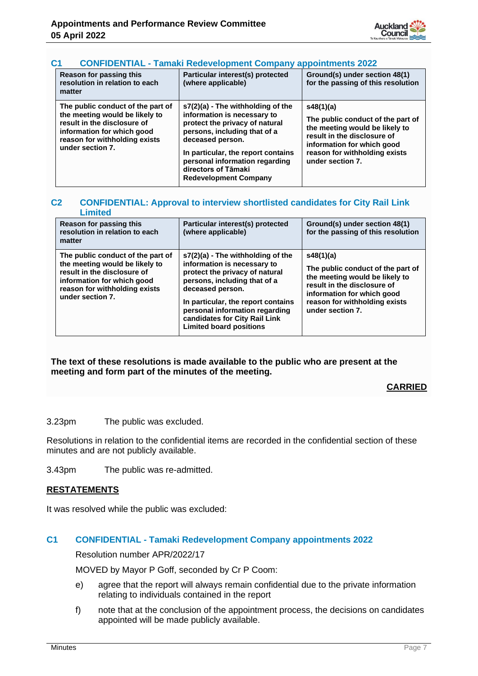

# **C1 CONFIDENTIAL - Tamaki Redevelopment Company appointments 2022**

| Reason for passing this<br>resolution in relation to each<br>matter                                                                                                                   | Particular interest(s) protected<br>(where applicable)                                                                                                                                                                                                                                  | Ground(s) under section 48(1)<br>for the passing of this resolution                                                                                                                                |
|---------------------------------------------------------------------------------------------------------------------------------------------------------------------------------------|-----------------------------------------------------------------------------------------------------------------------------------------------------------------------------------------------------------------------------------------------------------------------------------------|----------------------------------------------------------------------------------------------------------------------------------------------------------------------------------------------------|
| The public conduct of the part of<br>the meeting would be likely to<br>result in the disclosure of<br>information for which good<br>reason for withholding exists<br>under section 7. | $s7(2)(a)$ - The withholding of the<br>information is necessary to<br>protect the privacy of natural<br>persons, including that of a<br>deceased person.<br>In particular, the report contains<br>personal information regarding<br>directors of Tāmaki<br><b>Redevelopment Company</b> | s48(1)(a)<br>The public conduct of the part of<br>the meeting would be likely to<br>result in the disclosure of<br>information for which good<br>reason for withholding exists<br>under section 7. |

#### **C2 CONFIDENTIAL: Approval to interview shortlisted candidates for City Rail Link Limited**

| Reason for passing this<br>resolution in relation to each<br>matter                                                                                                                   | Particular interest(s) protected<br>(where applicable)                                                                                                                                                                                                                                              | Ground(s) under section 48(1)<br>for the passing of this resolution                                                                                                                                |
|---------------------------------------------------------------------------------------------------------------------------------------------------------------------------------------|-----------------------------------------------------------------------------------------------------------------------------------------------------------------------------------------------------------------------------------------------------------------------------------------------------|----------------------------------------------------------------------------------------------------------------------------------------------------------------------------------------------------|
| The public conduct of the part of<br>the meeting would be likely to<br>result in the disclosure of<br>information for which good<br>reason for withholding exists<br>under section 7. | $s7(2)(a)$ - The withholding of the<br>information is necessary to<br>protect the privacy of natural<br>persons, including that of a<br>deceased person.<br>In particular, the report contains<br>personal information regarding<br>candidates for City Rail Link<br><b>Limited board positions</b> | s48(1)(a)<br>The public conduct of the part of<br>the meeting would be likely to<br>result in the disclosure of<br>information for which good<br>reason for withholding exists<br>under section 7. |

#### **The text of these resolutions is made available to the public who are present at the meeting and form part of the minutes of the meeting.**

# **CARRIED**

3.23pm The public was excluded.

Resolutions in relation to the confidential items are recorded in the confidential section of these minutes and are not publicly available.

3.43pm The public was re-admitted.

#### **RESTATEMENTS**

It was resolved while the public was excluded:

# **C1 CONFIDENTIAL - Tamaki Redevelopment Company appointments 2022**

Resolution number APR/2022/17

MOVED by Mayor P Goff, seconded by Cr P Coom:

- e) agree that the report will always remain confidential due to the private information relating to individuals contained in the report
- f) note that at the conclusion of the appointment process, the decisions on candidates appointed will be made publicly available.